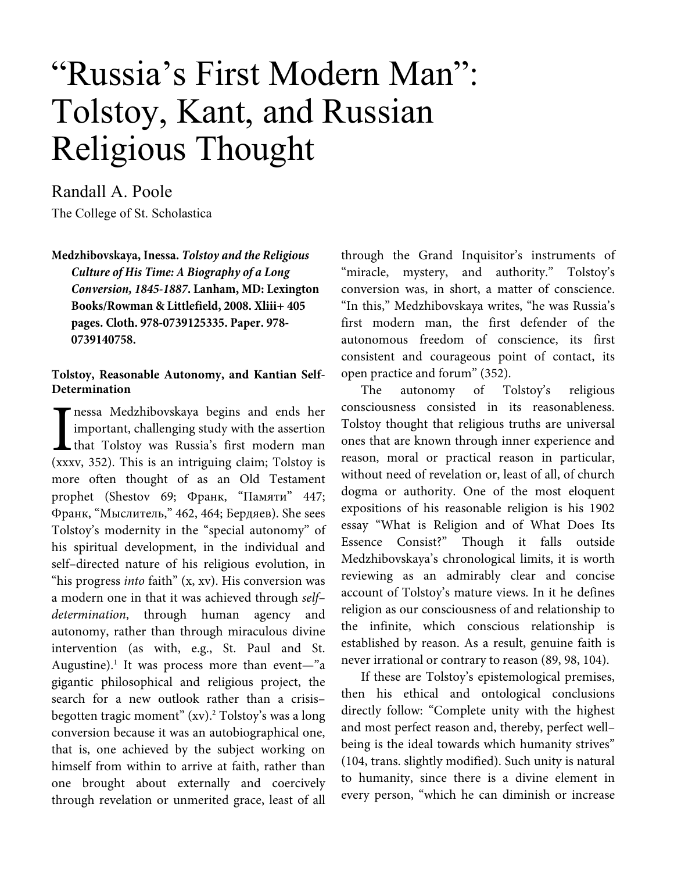# "Russia's First Modern Man": Tolstoy, Kant, and Russian Religious Thought

Randall A. Poole The College of St. Scholastica

**Medzhibovskaya, Inessa.** *Tolstoy and the Religious Culture of His Time: A Biography of a Long Conversion, 1845-1887***. Lanham, MD: Lexington Books/Rowman & Littlefield, 2008. Xliii+ 405 pages. Cloth. 978-0739125335. Paper. 978- 0739140758.** 

# **Tolstoy, Reasonable Autonomy, and Kantian Self-Determination**

nessa Medzhibovskaya begins and ends her important, challenging study with the assertion that Tolstoy was Russia's first modern man (xxxv, 352). This is an intriguing claim; Tolstoy is more often thought of as an Old Testament prophet (Shestov 69; Франк, "Памяти" 447; Франк, "Мыслитель," 462, 464; Бердяев). She sees Tolstoy's modernity in the "special autonomy" of his spiritual development, in the individual and self–directed nature of his religious evolution, in "his progress *into* faith" (x, xv). His conversion was a modern one in that it was achieved through self– determination, through human agency and autonomy, rather than through miraculous divine intervention (as with, e.g., St. Paul and St. Augustine).<sup>1</sup> It was process more than event-"a gigantic philosophical and religious project, the search for a new outlook rather than a crisis– begotten tragic moment" (xv).<sup>2</sup> Tolstoy's was a long conversion because it was an autobiographical one, that is, one achieved by the subject working on himself from within to arrive at faith, rather than one brought about externally and coercively through revelation or unmerited grace, least of all  $\int_{\text{the}}^{\text{nes}}$ 

through the Grand Inquisitor's instruments of "miracle, mystery, and authority." Tolstoy's conversion was, in short, a matter of conscience. "In this," Medzhibovskaya writes, "he was Russia's first modern man, the first defender of the autonomous freedom of conscience, its first consistent and courageous point of contact, its open practice and forum" (352).

The autonomy of Tolstoy's religious consciousness consisted in its reasonableness. Tolstoy thought that religious truths are universal ones that are known through inner experience and reason, moral or practical reason in particular, without need of revelation or, least of all, of church dogma or authority. One of the most eloquent expositions of his reasonable religion is his 1902 essay "What is Religion and of What Does Its Essence Consist?" Though it falls outside Medzhibovskaya's chronological limits, it is worth reviewing as an admirably clear and concise account of Tolstoy's mature views. In it he defines religion as our consciousness of and relationship to the infinite, which conscious relationship is established by reason. As a result, genuine faith is never irrational or contrary to reason (89, 98, 104).

If these are Tolstoy's epistemological premises, then his ethical and ontological conclusions directly follow: "Complete unity with the highest and most perfect reason and, thereby, perfect well– being is the ideal towards which humanity strives" (104, trans. slightly modified). Such unity is natural to humanity, since there is a divine element in every person, "which he can diminish or increase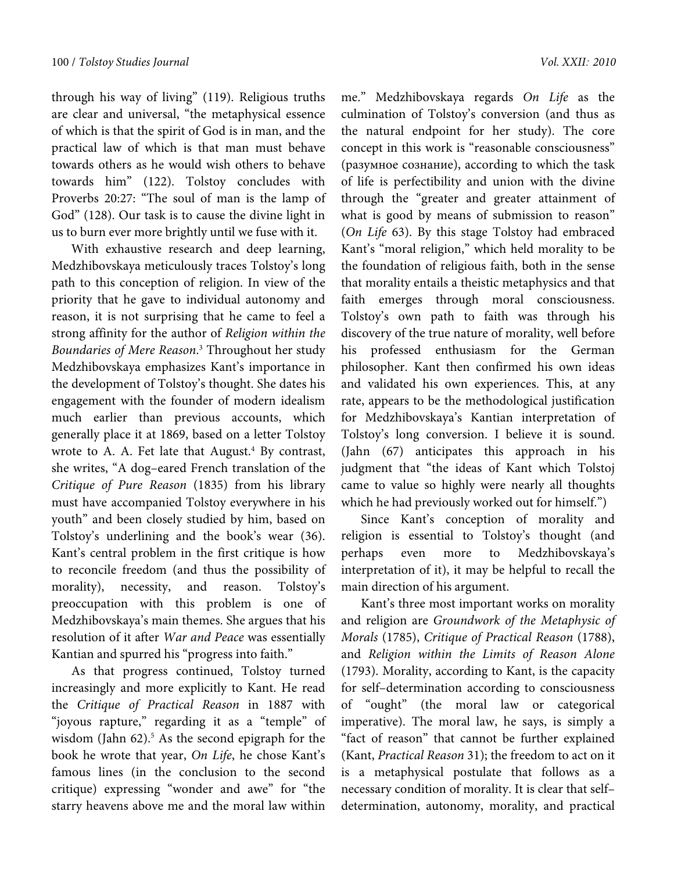through his way of living" (119). Religious truths are clear and universal, "the metaphysical essence of which is that the spirit of God is in man, and the practical law of which is that man must behave towards others as he would wish others to behave towards him" (122). Tolstoy concludes with Proverbs 20:27: "The soul of man is the lamp of God" (128). Our task is to cause the divine light in us to burn ever more brightly until we fuse with it.

With exhaustive research and deep learning, Medzhibovskaya meticulously traces Tolstoy's long path to this conception of religion. In view of the priority that he gave to individual autonomy and reason, it is not surprising that he came to feel a strong affinity for the author of Religion within the Boundaries of Mere Reason. 3 Throughout her study Medzhibovskaya emphasizes Kant's importance in the development of Tolstoy's thought. She dates his engagement with the founder of modern idealism much earlier than previous accounts, which generally place it at 1869, based on a letter Tolstoy wrote to A. A. Fet late that August. $4$  By contrast, she writes, "A dog–eared French translation of the Critique of Pure Reason (1835) from his library must have accompanied Tolstoy everywhere in his youth" and been closely studied by him, based on Tolstoy's underlining and the book's wear (36). Kant's central problem in the first critique is how to reconcile freedom (and thus the possibility of morality), necessity, and reason. Tolstoy's preoccupation with this problem is one of Medzhibovskaya's main themes. She argues that his resolution of it after War and Peace was essentially Kantian and spurred his "progress into faith."

As that progress continued, Tolstoy turned increasingly and more explicitly to Kant. He read the Critique of Practical Reason in 1887 with "joyous rapture," regarding it as a "temple" of wisdom (Jahn  $62$ ).<sup>5</sup> As the second epigraph for the book he wrote that year, On Life, he chose Kant's famous lines (in the conclusion to the second critique) expressing "wonder and awe" for "the starry heavens above me and the moral law within

me." Medzhibovskaya regards On Life as the culmination of Tolstoy's conversion (and thus as the natural endpoint for her study). The core concept in this work is "reasonable consciousness" (разумное сознание), according to which the task of life is perfectibility and union with the divine through the "greater and greater attainment of what is good by means of submission to reason" (On Life 63). By this stage Tolstoy had embraced Kant's "moral religion," which held morality to be the foundation of religious faith, both in the sense that morality entails a theistic metaphysics and that faith emerges through moral consciousness. Tolstoy's own path to faith was through his discovery of the true nature of morality, well before his professed enthusiasm for the German philosopher. Kant then confirmed his own ideas and validated his own experiences. This, at any rate, appears to be the methodological justification for Medzhibovskaya's Kantian interpretation of Tolstoy's long conversion. I believe it is sound. (Jahn (67) anticipates this approach in his judgment that "the ideas of Kant which Tolstoj came to value so highly were nearly all thoughts which he had previously worked out for himself.")

Since Kant's conception of morality and religion is essential to Tolstoy's thought (and perhaps even more to Medzhibovskaya's interpretation of it), it may be helpful to recall the main direction of his argument.

Kant's three most important works on morality and religion are Groundwork of the Metaphysic of Morals (1785), Critique of Practical Reason (1788), and Religion within the Limits of Reason Alone (1793). Morality, according to Kant, is the capacity for self–determination according to consciousness of "ought" (the moral law or categorical imperative). The moral law, he says, is simply a "fact of reason" that cannot be further explained (Kant, Practical Reason 31); the freedom to act on it is a metaphysical postulate that follows as a necessary condition of morality. It is clear that self– determination, autonomy, morality, and practical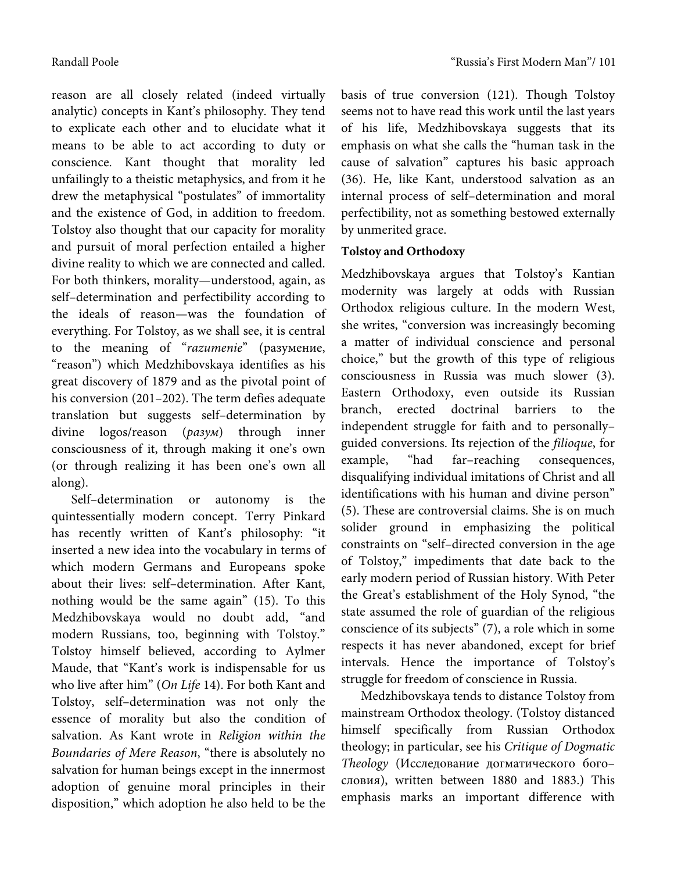reason are all closely related (indeed virtually analytic) concepts in Kant's philosophy. They tend to explicate each other and to elucidate what it means to be able to act according to duty or conscience. Kant thought that morality led unfailingly to a theistic metaphysics, and from it he drew the metaphysical "postulates" of immortality and the existence of God, in addition to freedom. Tolstoy also thought that our capacity for morality and pursuit of moral perfection entailed a higher divine reality to which we are connected and called. For both thinkers, morality—understood, again, as self–determination and perfectibility according to the ideals of reason—was the foundation of everything. For Tolstoy, as we shall see, it is central to the meaning of "razumenie" (разумение, "reason") which Medzhibovskaya identifies as his great discovery of 1879 and as the pivotal point of his conversion (201–202). The term defies adequate translation but suggests self–determination by divine logos/reason (разум) through inner consciousness of it, through making it one's own (or through realizing it has been one's own all along).

Self–determination or autonomy is the quintessentially modern concept. Terry Pinkard has recently written of Kant's philosophy: "it inserted a new idea into the vocabulary in terms of which modern Germans and Europeans spoke about their lives: self–determination. After Kant, nothing would be the same again" (15). To this Medzhibovskaya would no doubt add, "and modern Russians, too, beginning with Tolstoy." Tolstoy himself believed, according to Aylmer Maude, that "Kant's work is indispensable for us who live after him" (On Life 14). For both Kant and Tolstoy, self–determination was not only the essence of morality but also the condition of salvation. As Kant wrote in Religion within the Boundaries of Mere Reason, "there is absolutely no salvation for human beings except in the innermost adoption of genuine moral principles in their disposition," which adoption he also held to be the basis of true conversion (121). Though Tolstoy seems not to have read this work until the last years of his life, Medzhibovskaya suggests that its emphasis on what she calls the "human task in the cause of salvation" captures his basic approach (36). He, like Kant, understood salvation as an internal process of self–determination and moral perfectibility, not as something bestowed externally by unmerited grace.

# **Tolstoy and Orthodoxy**

Medzhibovskaya argues that Tolstoy's Kantian modernity was largely at odds with Russian Orthodox religious culture. In the modern West, she writes, "conversion was increasingly becoming a matter of individual conscience and personal choice," but the growth of this type of religious consciousness in Russia was much slower (3). Eastern Orthodoxy, even outside its Russian branch, erected doctrinal barriers to the independent struggle for faith and to personally– guided conversions. Its rejection of the filioque, for example, "had far–reaching consequences, disqualifying individual imitations of Christ and all identifications with his human and divine person" (5). These are controversial claims. She is on much solider ground in emphasizing the political constraints on "self–directed conversion in the age of Tolstoy," impediments that date back to the early modern period of Russian history. With Peter the Great's establishment of the Holy Synod, "the state assumed the role of guardian of the religious conscience of its subjects" (7), a role which in some respects it has never abandoned, except for brief intervals. Hence the importance of Tolstoy's struggle for freedom of conscience in Russia.

Medzhibovskaya tends to distance Tolstoy from mainstream Orthodox theology. (Tolstoy distanced himself specifically from Russian Orthodox theology; in particular, see his Critique of Dogmatic Theology (Исследование догматического бого– словия), written between 1880 and 1883.) This emphasis marks an important difference with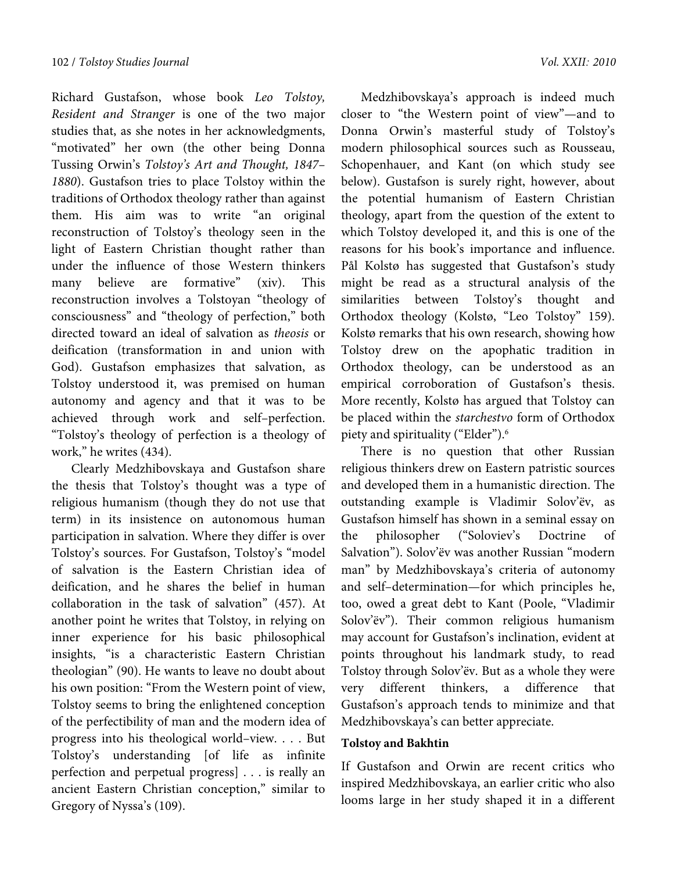Richard Gustafson, whose book Leo Tolstoy, Resident and Stranger is one of the two major studies that, as she notes in her acknowledgments, "motivated" her own (the other being Donna Tussing Orwin's Tolstoy's Art and Thought, 1847– 1880). Gustafson tries to place Tolstoy within the traditions of Orthodox theology rather than against them. His aim was to write "an original reconstruction of Tolstoy's theology seen in the light of Eastern Christian thought rather than under the influence of those Western thinkers many believe are formative" (xiv). This reconstruction involves a Tolstoyan "theology of consciousness" and "theology of perfection," both directed toward an ideal of salvation as theosis or deification (transformation in and union with God). Gustafson emphasizes that salvation, as Tolstoy understood it, was premised on human autonomy and agency and that it was to be achieved through work and self–perfection. "Tolstoy's theology of perfection is a theology of work," he writes (434).

Clearly Medzhibovskaya and Gustafson share the thesis that Tolstoy's thought was a type of religious humanism (though they do not use that term) in its insistence on autonomous human participation in salvation. Where they differ is over Tolstoy's sources. For Gustafson, Tolstoy's "model of salvation is the Eastern Christian idea of deification, and he shares the belief in human collaboration in the task of salvation" (457). At another point he writes that Tolstoy, in relying on inner experience for his basic philosophical insights, "is a characteristic Eastern Christian theologian" (90). He wants to leave no doubt about his own position: "From the Western point of view, Tolstoy seems to bring the enlightened conception of the perfectibility of man and the modern idea of progress into his theological world–view. . . . But Tolstoy's understanding [of life as infinite perfection and perpetual progress] . . . is really an ancient Eastern Christian conception," similar to Gregory of Nyssa's (109).

Medzhibovskaya's approach is indeed much closer to "the Western point of view"—and to Donna Orwin's masterful study of Tolstoy's modern philosophical sources such as Rousseau, Schopenhauer, and Kant (on which study see below). Gustafson is surely right, however, about the potential humanism of Eastern Christian theology, apart from the question of the extent to which Tolstoy developed it, and this is one of the reasons for his book's importance and influence. Pål Kolstø has suggested that Gustafson's study might be read as a structural analysis of the similarities between Tolstoy's thought and Orthodox theology (Kolstø, "Leo Tolstoy" 159). Kolstø remarks that his own research, showing how Tolstoy drew on the apophatic tradition in Orthodox theology, can be understood as an empirical corroboration of Gustafson's thesis. More recently, Kolstø has argued that Tolstoy can be placed within the starchestvo form of Orthodox piety and spirituality ("Elder").6

There is no question that other Russian religious thinkers drew on Eastern patristic sources and developed them in a humanistic direction. The outstanding example is Vladimir Solov'ёv, as Gustafson himself has shown in a seminal essay on the philosopher ("Soloviev's Doctrine of Salvation"). Solov'ёv was another Russian "modern man" by Medzhibovskaya's criteria of autonomy and self–determination—for which principles he, too, owed a great debt to Kant (Poole, "Vladimir Solov'ëv"). Their common religious humanism may account for Gustafson's inclination, evident at points throughout his landmark study, to read Tolstoy through Solov'ёv. But as a whole they were very different thinkers, a difference that Gustafson's approach tends to minimize and that Medzhibovskaya's can better appreciate.

# **Tolstoy and Bakhtin**

If Gustafson and Orwin are recent critics who inspired Medzhibovskaya, an earlier critic who also looms large in her study shaped it in a different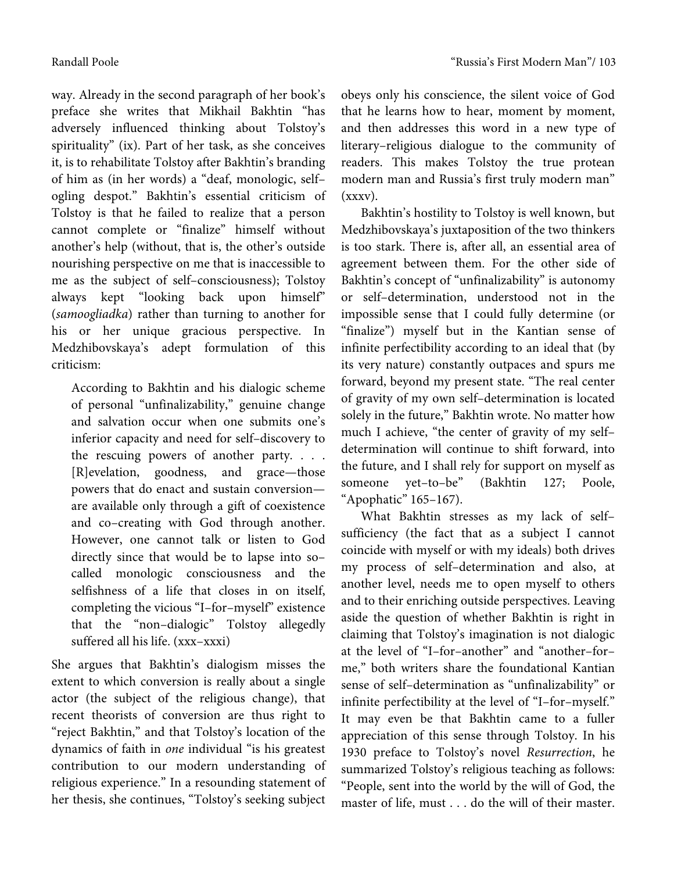way. Already in the second paragraph of her book's preface she writes that Mikhail Bakhtin "has adversely influenced thinking about Tolstoy's spirituality" (ix). Part of her task, as she conceives it, is to rehabilitate Tolstoy after Bakhtin's branding

of him as (in her words) a "deaf, monologic, self– ogling despot." Bakhtin's essential criticism of Tolstoy is that he failed to realize that a person cannot complete or "finalize" himself without another's help (without, that is, the other's outside nourishing perspective on me that is inaccessible to me as the subject of self–consciousness); Tolstoy always kept "looking back upon himself" (samoogliadka) rather than turning to another for his or her unique gracious perspective. In Medzhibovskaya's adept formulation of this criticism:

According to Bakhtin and his dialogic scheme of personal "unfinalizability," genuine change and salvation occur when one submits one's inferior capacity and need for self–discovery to the rescuing powers of another party. . . . [R]evelation, goodness, and grace—those powers that do enact and sustain conversion are available only through a gift of coexistence and co–creating with God through another. However, one cannot talk or listen to God directly since that would be to lapse into so– called monologic consciousness and the selfishness of a life that closes in on itself, completing the vicious "I–for–myself" existence that the "non–dialogic" Tolstoy allegedly suffered all his life. (xxx–xxxi)

She argues that Bakhtin's dialogism misses the extent to which conversion is really about a single actor (the subject of the religious change), that recent theorists of conversion are thus right to "reject Bakhtin," and that Tolstoy's location of the dynamics of faith in one individual "is his greatest contribution to our modern understanding of religious experience." In a resounding statement of her thesis, she continues, "Tolstoy's seeking subject obeys only his conscience, the silent voice of God that he learns how to hear, moment by moment, and then addresses this word in a new type of literary–religious dialogue to the community of readers. This makes Tolstoy the true protean modern man and Russia's first truly modern man" (xxxv).

Bakhtin's hostility to Tolstoy is well known, but Medzhibovskaya's juxtaposition of the two thinkers is too stark. There is, after all, an essential area of agreement between them. For the other side of Bakhtin's concept of "unfinalizability" is autonomy or self–determination, understood not in the impossible sense that I could fully determine (or "finalize") myself but in the Kantian sense of infinite perfectibility according to an ideal that (by its very nature) constantly outpaces and spurs me forward, beyond my present state. "The real center of gravity of my own self–determination is located solely in the future," Bakhtin wrote. No matter how much I achieve, "the center of gravity of my self– determination will continue to shift forward, into the future, and I shall rely for support on myself as someone yet–to–be" (Bakhtin 127; Poole, "Apophatic" 165–167).

What Bakhtin stresses as my lack of self– sufficiency (the fact that as a subject I cannot coincide with myself or with my ideals) both drives my process of self–determination and also, at another level, needs me to open myself to others and to their enriching outside perspectives. Leaving aside the question of whether Bakhtin is right in claiming that Tolstoy's imagination is not dialogic at the level of "I–for–another" and "another–for– me," both writers share the foundational Kantian sense of self–determination as "unfinalizability" or infinite perfectibility at the level of "I–for–myself." It may even be that Bakhtin came to a fuller appreciation of this sense through Tolstoy. In his 1930 preface to Tolstoy's novel Resurrection, he summarized Tolstoy's religious teaching as follows: "People, sent into the world by the will of God, the master of life, must . . . do the will of their master.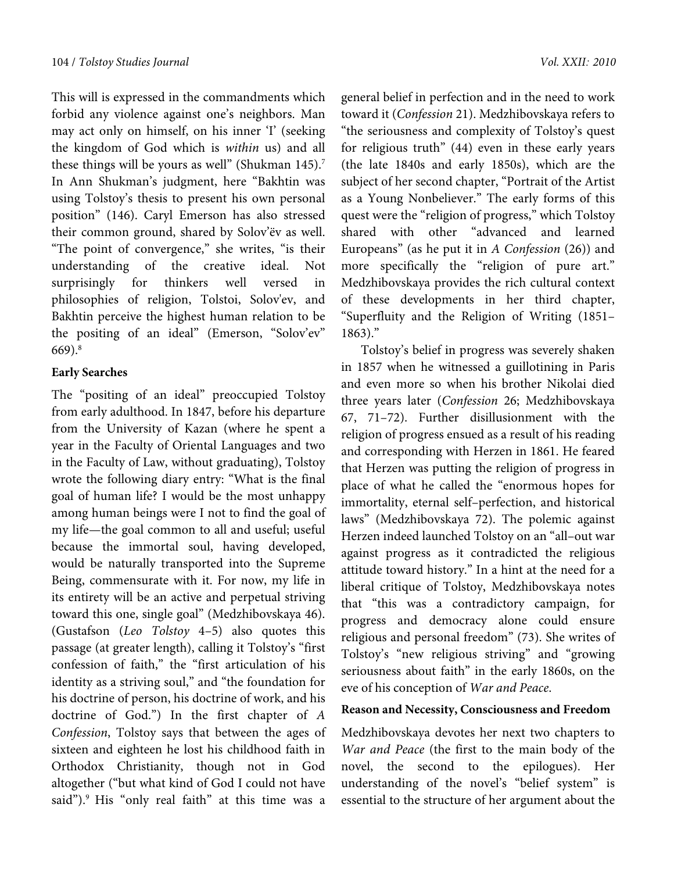This will is expressed in the commandments which forbid any violence against one's neighbors. Man may act only on himself, on his inner 'I' (seeking the kingdom of God which is within us) and all these things will be yours as well" (Shukman  $145$ ).<sup>7</sup> In Ann Shukman's judgment, here "Bakhtin was using Tolstoy's thesis to present his own personal position" (146). Caryl Emerson has also stressed their common ground, shared by Solov'ёv as well. "The point of convergence," she writes, "is their understanding of the creative ideal. Not surprisingly for thinkers well versed in philosophies of religion, Tolstoi, Solov'ev, and Bakhtin perceive the highest human relation to be the positing of an ideal" (Emerson, "Solov'ev" 669).8

#### **Early Searches**

The "positing of an ideal" preoccupied Tolstoy from early adulthood. In 1847, before his departure from the University of Kazan (where he spent a year in the Faculty of Oriental Languages and two in the Faculty of Law, without graduating), Tolstoy wrote the following diary entry: "What is the final goal of human life? I would be the most unhappy among human beings were I not to find the goal of my life—the goal common to all and useful; useful because the immortal soul, having developed, would be naturally transported into the Supreme Being, commensurate with it. For now, my life in its entirety will be an active and perpetual striving toward this one, single goal" (Medzhibovskaya 46). (Gustafson (Leo Tolstoy 4–5) also quotes this passage (at greater length), calling it Tolstoy's "first confession of faith," the "first articulation of his identity as a striving soul," and "the foundation for his doctrine of person, his doctrine of work, and his doctrine of God.") In the first chapter of A Confession, Tolstoy says that between the ages of sixteen and eighteen he lost his childhood faith in Orthodox Christianity, though not in God altogether ("but what kind of God I could not have said").<sup>9</sup> His "only real faith" at this time was a general belief in perfection and in the need to work toward it (Confession 21). Medzhibovskaya refers to "the seriousness and complexity of Tolstoy's quest for religious truth" (44) even in these early years (the late 1840s and early 1850s), which are the subject of her second chapter, "Portrait of the Artist as a Young Nonbeliever." The early forms of this quest were the "religion of progress," which Tolstoy shared with other "advanced and learned Europeans" (as he put it in  $A$  Confession (26)) and more specifically the "religion of pure art." Medzhibovskaya provides the rich cultural context of these developments in her third chapter, "Superfluity and the Religion of Writing (1851– 1863)."

Tolstoy's belief in progress was severely shaken in 1857 when he witnessed a guillotining in Paris and even more so when his brother Nikolai died three years later (Confession 26; Medzhibovskaya 67, 71–72). Further disillusionment with the religion of progress ensued as a result of his reading and corresponding with Herzen in 1861. He feared that Herzen was putting the religion of progress in place of what he called the "enormous hopes for immortality, eternal self–perfection, and historical laws" (Medzhibovskaya 72). The polemic against Herzen indeed launched Tolstoy on an "all–out war against progress as it contradicted the religious attitude toward history." In a hint at the need for a liberal critique of Tolstoy, Medzhibovskaya notes that "this was a contradictory campaign, for progress and democracy alone could ensure religious and personal freedom" (73). She writes of Tolstoy's "new religious striving" and "growing seriousness about faith" in the early 1860s, on the eve of his conception of War and Peace.

### **Reason and Necessity, Consciousness and Freedom**

Medzhibovskaya devotes her next two chapters to War and Peace (the first to the main body of the novel, the second to the epilogues). Her understanding of the novel's "belief system" is essential to the structure of her argument about the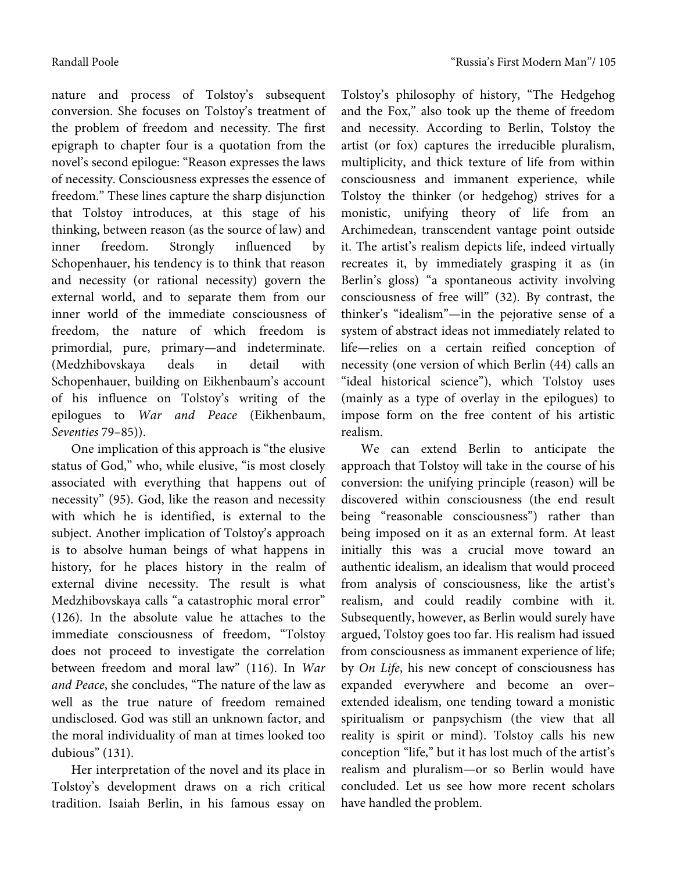nature and process of Tolstoy's subsequent conversion. She focuses on Tolstoy's treatment of the problem of freedom and necessity. The first epigraph to chapter four is a quotation from the novel's second epilogue: "Reason expresses the laws of necessity. Consciousness expresses the essence of

freedom." These lines capture the sharp disjunction that Tolstoy introduces, at this stage of his thinking, between reason (as the source of law) and inner freedom. Strongly influenced by Schopenhauer, his tendency is to think that reason and necessity (or rational necessity) govern the external world, and to separate them from our inner world of the immediate consciousness of freedom, the nature of which freedom is primordial, pure, primary—and indeterminate. (Medzhibovskaya deals in detail with Schopenhauer, building on Eikhenbaum's account of his influence on Tolstoy's writing of the epilogues to War and Peace (Eikhenbaum, Seventies 79–85)).

One implication of this approach is "the elusive status of God," who, while elusive, "is most closely associated with everything that happens out of necessity" (95). God, like the reason and necessity with which he is identified, is external to the subject. Another implication of Tolstoy's approach is to absolve human beings of what happens in history, for he places history in the realm of external divine necessity. The result is what Medzhibovskaya calls "a catastrophic moral error" (126). In the absolute value he attaches to the immediate consciousness of freedom, "Tolstoy does not proceed to investigate the correlation between freedom and moral law" (116). In War and Peace, she concludes, "The nature of the law as well as the true nature of freedom remained undisclosed. God was still an unknown factor, and the moral individuality of man at times looked too dubious" (131).

Her interpretation of the novel and its place in Tolstoy's development draws on a rich critical tradition. Isaiah Berlin, in his famous essay on Tolstoy's philosophy of history, "The Hedgehog and the Fox," also took up the theme of freedom and necessity. According to Berlin, Tolstoy the artist (or fox) captures the irreducible pluralism, multiplicity, and thick texture of life from within consciousness and immanent experience, while Tolstoy the thinker (or hedgehog) strives for a monistic, unifying theory of life from an Archimedean, transcendent vantage point outside it. The artist's realism depicts life, indeed virtually recreates it, by immediately grasping it as (in Berlin's gloss) "a spontaneous activity involving consciousness of free will" (32). By contrast, the thinker's "idealism"—in the pejorative sense of a system of abstract ideas not immediately related to life—relies on a certain reified conception of necessity (one version of which Berlin (44) calls an "ideal historical science"), which Tolstoy uses (mainly as a type of overlay in the epilogues) to impose form on the free content of his artistic realism.

We can extend Berlin to anticipate the approach that Tolstoy will take in the course of his conversion: the unifying principle (reason) will be discovered within consciousness (the end result being "reasonable consciousness") rather than being imposed on it as an external form. At least initially this was a crucial move toward an authentic idealism, an idealism that would proceed from analysis of consciousness, like the artist's realism, and could readily combine with it. Subsequently, however, as Berlin would surely have argued, Tolstoy goes too far. His realism had issued from consciousness as immanent experience of life; by On Life, his new concept of consciousness has expanded everywhere and become an over– extended idealism, one tending toward a monistic spiritualism or panpsychism (the view that all reality is spirit or mind). Tolstoy calls his new conception "life," but it has lost much of the artist's realism and pluralism—or so Berlin would have concluded. Let us see how more recent scholars have handled the problem.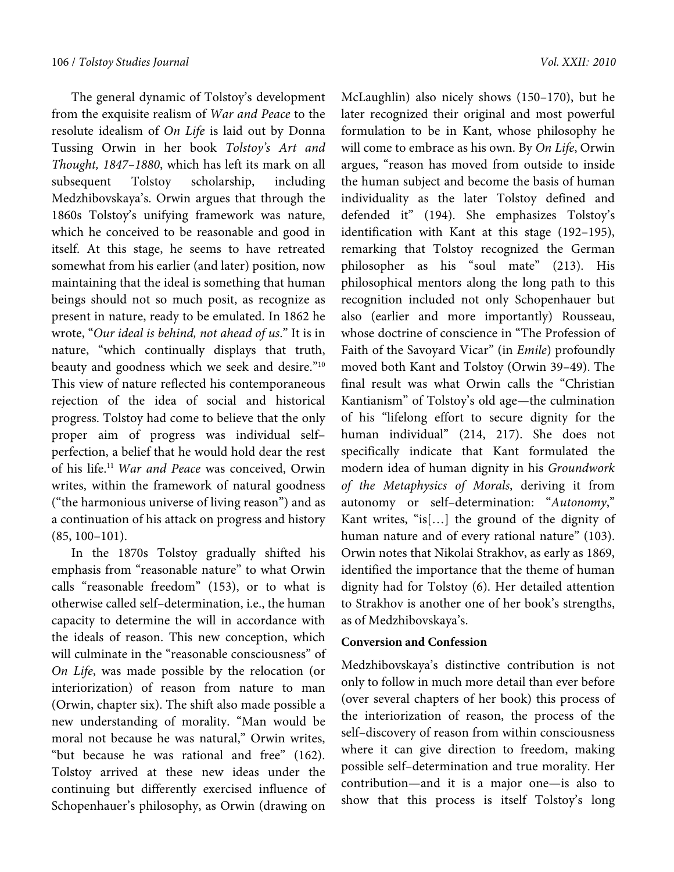The general dynamic of Tolstoy's development from the exquisite realism of War and Peace to the resolute idealism of On Life is laid out by Donna Tussing Orwin in her book Tolstoy's Art and Thought, 1847–1880, which has left its mark on all subsequent Tolstoy scholarship, including Medzhibovskaya's. Orwin argues that through the 1860s Tolstoy's unifying framework was nature, which he conceived to be reasonable and good in itself. At this stage, he seems to have retreated somewhat from his earlier (and later) position, now maintaining that the ideal is something that human beings should not so much posit, as recognize as present in nature, ready to be emulated. In 1862 he wrote, "Our ideal is behind, not ahead of us." It is in nature, "which continually displays that truth, beauty and goodness which we seek and desire."10 This view of nature reflected his contemporaneous rejection of the idea of social and historical progress. Tolstoy had come to believe that the only proper aim of progress was individual self– perfection, a belief that he would hold dear the rest of his life.11 War and Peace was conceived, Orwin writes, within the framework of natural goodness ("the harmonious universe of living reason") and as a continuation of his attack on progress and history (85, 100–101).

In the 1870s Tolstoy gradually shifted his emphasis from "reasonable nature" to what Orwin calls "reasonable freedom" (153), or to what is otherwise called self–determination, i.e., the human capacity to determine the will in accordance with the ideals of reason. This new conception, which will culminate in the "reasonable consciousness" of On Life, was made possible by the relocation (or interiorization) of reason from nature to man (Orwin, chapter six). The shift also made possible a new understanding of morality. "Man would be moral not because he was natural," Orwin writes, "but because he was rational and free" (162). Tolstoy arrived at these new ideas under the continuing but differently exercised influence of Schopenhauer's philosophy, as Orwin (drawing on

McLaughlin) also nicely shows (150–170), but he later recognized their original and most powerful formulation to be in Kant, whose philosophy he will come to embrace as his own. By On Life, Orwin argues, "reason has moved from outside to inside the human subject and become the basis of human individuality as the later Tolstoy defined and defended it" (194). She emphasizes Tolstoy's identification with Kant at this stage (192–195), remarking that Tolstoy recognized the German philosopher as his "soul mate" (213). His philosophical mentors along the long path to this recognition included not only Schopenhauer but also (earlier and more importantly) Rousseau, whose doctrine of conscience in "The Profession of Faith of the Savoyard Vicar" (in Emile) profoundly moved both Kant and Tolstoy (Orwin 39–49). The final result was what Orwin calls the "Christian Kantianism" of Tolstoy's old age—the culmination of his "lifelong effort to secure dignity for the human individual" (214, 217). She does not specifically indicate that Kant formulated the modern idea of human dignity in his Groundwork of the Metaphysics of Morals, deriving it from autonomy or self–determination: "Autonomy," Kant writes, "is[…] the ground of the dignity of human nature and of every rational nature" (103). Orwin notes that Nikolai Strakhov, as early as 1869, identified the importance that the theme of human dignity had for Tolstoy (6). Her detailed attention to Strakhov is another one of her book's strengths, as of Medzhibovskaya's.

# **Conversion and Confession**

Medzhibovskaya's distinctive contribution is not only to follow in much more detail than ever before (over several chapters of her book) this process of the interiorization of reason, the process of the self–discovery of reason from within consciousness where it can give direction to freedom, making possible self–determination and true morality. Her contribution—and it is a major one—is also to show that this process is itself Tolstoy's long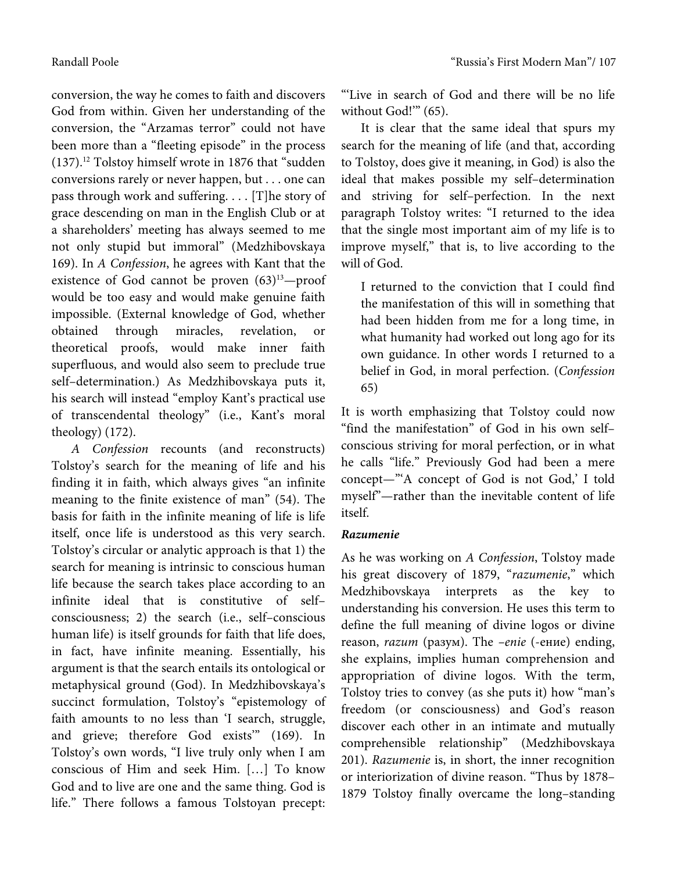conversion, the way he comes to faith and discovers God from within. Given her understanding of the conversion, the "Arzamas terror" could not have been more than a "fleeting episode" in the process (137).12 Tolstoy himself wrote in 1876 that "sudden conversions rarely or never happen, but . . . one can pass through work and suffering. . . . [T]he story of grace descending on man in the English Club or at a shareholders' meeting has always seemed to me not only stupid but immoral" (Medzhibovskaya 169). In A Confession, he agrees with Kant that the existence of God cannot be proven  $(63)^{13}$ -proof would be too easy and would make genuine faith impossible. (External knowledge of God, whether obtained through miracles, revelation, or theoretical proofs, would make inner faith superfluous, and would also seem to preclude true self–determination.) As Medzhibovskaya puts it, his search will instead "employ Kant's practical use of transcendental theology" (i.e., Kant's moral theology) (172).

A Confession recounts (and reconstructs) Tolstoy's search for the meaning of life and his finding it in faith, which always gives "an infinite meaning to the finite existence of man" (54). The basis for faith in the infinite meaning of life is life itself, once life is understood as this very search. Tolstoy's circular or analytic approach is that 1) the search for meaning is intrinsic to conscious human life because the search takes place according to an infinite ideal that is constitutive of self– consciousness; 2) the search (i.e., self–conscious human life) is itself grounds for faith that life does, in fact, have infinite meaning. Essentially, his argument is that the search entails its ontological or metaphysical ground (God). In Medzhibovskaya's succinct formulation, Tolstoy's "epistemology of faith amounts to no less than 'I search, struggle, and grieve; therefore God exists'" (169). In Tolstoy's own words, "I live truly only when I am conscious of Him and seek Him. […] To know God and to live are one and the same thing. God is life." There follows a famous Tolstoyan precept: "'Live in search of God and there will be no life without God!" (65).

It is clear that the same ideal that spurs my search for the meaning of life (and that, according to Tolstoy, does give it meaning, in God) is also the ideal that makes possible my self–determination and striving for self–perfection. In the next paragraph Tolstoy writes: "I returned to the idea that the single most important aim of my life is to improve myself," that is, to live according to the will of God.

I returned to the conviction that I could find the manifestation of this will in something that had been hidden from me for a long time, in what humanity had worked out long ago for its own guidance. In other words I returned to a belief in God, in moral perfection. (Confession 65)

It is worth emphasizing that Tolstoy could now "find the manifestation" of God in his own self– conscious striving for moral perfection, or in what he calls "life." Previously God had been a mere concept—"'A concept of God is not God,' I told myself"—rather than the inevitable content of life itself.

# Razumenie

*Razumenie*  As he was working on A Confession, Tolstoy made his great discovery of 1879, "razumenie," which Medzhibovskaya interprets as the key to understanding his conversion. He uses this term to define the full meaning of divine logos or divine reason, razum (разум). The –enie (-ение) ending, she explains, implies human comprehension and appropriation of divine logos. With the term, Tolstoy tries to convey (as she puts it) how "man's freedom (or consciousness) and God's reason discover each other in an intimate and mutually comprehensible relationship" (Medzhibovskaya 201). Razumenie is, in short, the inner recognition or interiorization of divine reason. "Thus by 1878– 1879 Tolstoy finally overcame the long–standing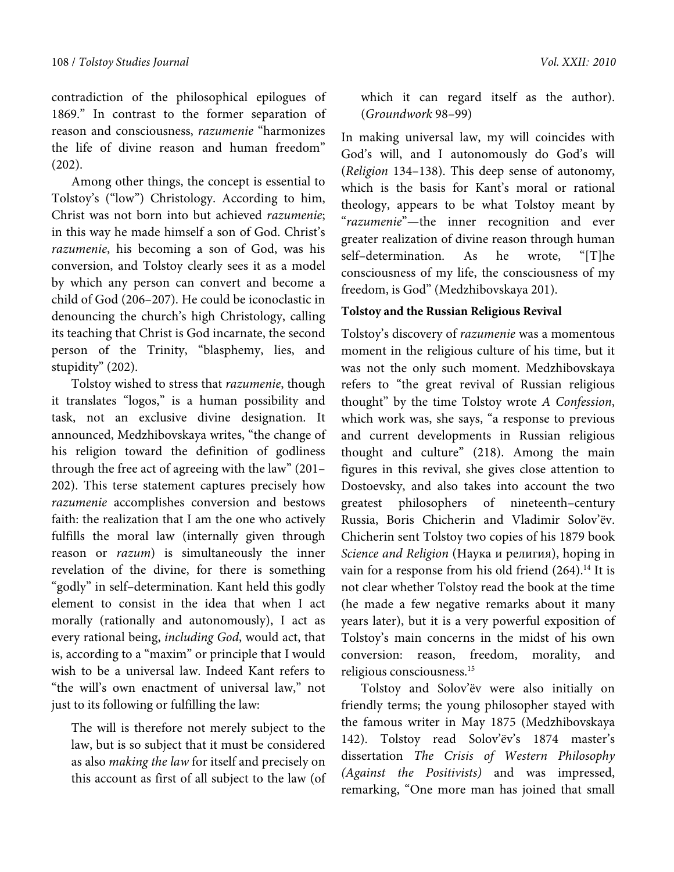contradiction of the philosophical epilogues of 1869." In contrast to the former separation of reason and consciousness, razumenie "harmonizes the life of divine reason and human freedom" (202).

Among other things, the concept is essential to Tolstoy's ("low") Christology. According to him, Christ was not born into but achieved razumenie; in this way he made himself a son of God. Christ's razumenie, his becoming a son of God, was his conversion, and Tolstoy clearly sees it as a model by which any person can convert and become a child of God (206–207). He could be iconoclastic in denouncing the church's high Christology, calling its teaching that Christ is God incarnate, the second person of the Trinity, "blasphemy, lies, and stupidity" (202).

Tolstoy wished to stress that razumenie, though it translates "logos," is a human possibility and task, not an exclusive divine designation. It announced, Medzhibovskaya writes, "the change of his religion toward the definition of godliness through the free act of agreeing with the law" (201– 202). This terse statement captures precisely how razumenie accomplishes conversion and bestows faith: the realization that I am the one who actively fulfills the moral law (internally given through reason or *razum*) is simultaneously the inner revelation of the divine, for there is something "godly" in self–determination. Kant held this godly element to consist in the idea that when I act morally (rationally and autonomously), I act as every rational being, including God, would act, that is, according to a "maxim" or principle that I would wish to be a universal law. Indeed Kant refers to "the will's own enactment of universal law," not just to its following or fulfilling the law:

The will is therefore not merely subject to the law, but is so subject that it must be considered as also making the law for itself and precisely on this account as first of all subject to the law (of which it can regard itself as the author). (Groundwork 98–99)

In making universal law, my will coincides with God's will, and I autonomously do God's will (Religion 134–138). This deep sense of autonomy, which is the basis for Kant's moral or rational theology, appears to be what Tolstoy meant by "razumenie"—the inner recognition and ever greater realization of divine reason through human self–determination. As he wrote, "[T]he consciousness of my life, the consciousness of my freedom, is God" (Medzhibovskaya 201).

#### **Tolstoy and the Russian Religious Revival**

Tolstoy's discovery of razumenie was a momentous moment in the religious culture of his time, but it was not the only such moment. Medzhibovskaya refers to "the great revival of Russian religious thought" by the time Tolstoy wrote A Confession, which work was, she says, "a response to previous and current developments in Russian religious thought and culture" (218). Among the main figures in this revival, she gives close attention to Dostoevsky, and also takes into account the two greatest philosophers of nineteenth–century Russia, Boris Chicherin and Vladimir Solov'ёv. Chicherin sent Tolstoy two copies of his 1879 book Science and Religion (Наука и религия), hoping in vain for a response from his old friend  $(264).$ <sup>14</sup> It is not clear whether Tolstoy read the book at the time (he made a few negative remarks about it many years later), but it is a very powerful exposition of Tolstoy's main concerns in the midst of his own conversion: reason, freedom, morality, and religious consciousness.15

Tolstoy and Solov'ёv were also initially on friendly terms; the young philosopher stayed with the famous writer in May 1875 (Medzhibovskaya 142). Tolstoy read Solov'ёv's 1874 master's dissertation The Crisis of Western Philosophy (Against the Positivists) and was impressed, remarking, "One more man has joined that small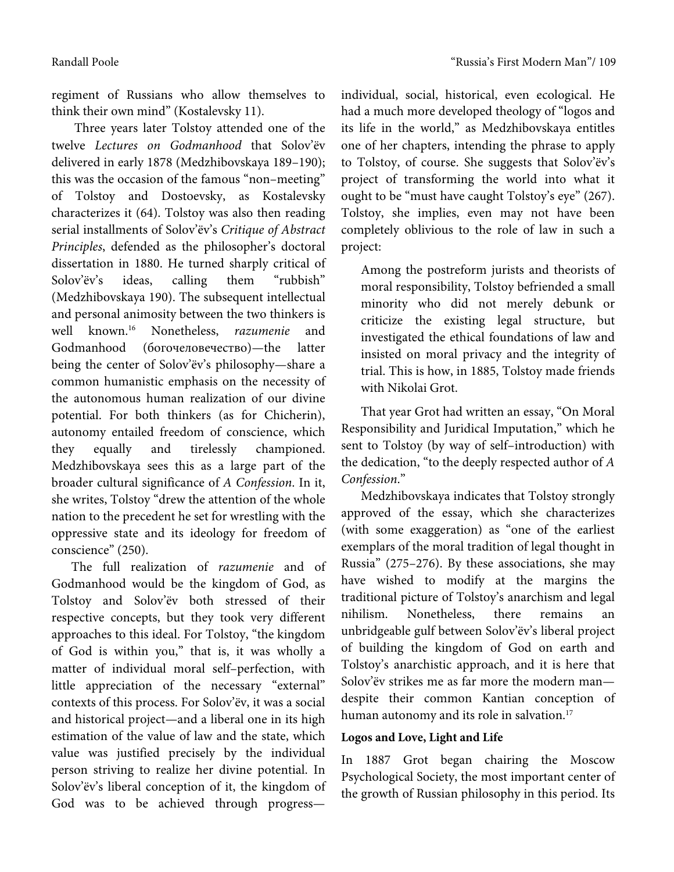regiment of Russians who allow themselves to think their own mind" (Kostalevsky 11).

 Three years later Tolstoy attended one of the twelve Lectures on Godmanhood that Solov'ёv delivered in early 1878 (Medzhibovskaya 189–190); this was the occasion of the famous "non–meeting" of Tolstoy and Dostoevsky, as Kostalevsky characterizes it (64). Tolstoy was also then reading serial installments of Solov'ёv's Critique of Abstract Principles, defended as the philosopher's doctoral dissertation in 1880. He turned sharply critical of Solov'ёv's ideas, calling them "rubbish" (Medzhibovskaya 190). The subsequent intellectual and personal animosity between the two thinkers is well known.16 Nonetheless, razumenie and Godmanhood (богочеловечество)—the latter being the center of Solov'ёv's philosophy—share a common humanistic emphasis on the necessity of the autonomous human realization of our divine potential. For both thinkers (as for Chicherin), autonomy entailed freedom of conscience, which they equally and tirelessly championed. Medzhibovskaya sees this as a large part of the broader cultural significance of A Confession. In it, she writes, Tolstoy "drew the attention of the whole nation to the precedent he set for wrestling with the oppressive state and its ideology for freedom of conscience" (250).

The full realization of razumenie and of Godmanhood would be the kingdom of God, as Tolstoy and Solov'ёv both stressed of their respective concepts, but they took very different approaches to this ideal. For Tolstoy, "the kingdom of God is within you," that is, it was wholly a matter of individual moral self–perfection, with little appreciation of the necessary "external" contexts of this process. For Solov'ёv, it was a social and historical project—and a liberal one in its high estimation of the value of law and the state, which value was justified precisely by the individual person striving to realize her divine potential. In Solov'ёv's liberal conception of it, the kingdom of God was to be achieved through progressindividual, social, historical, even ecological. He had a much more developed theology of "logos and its life in the world," as Medzhibovskaya entitles one of her chapters, intending the phrase to apply to Tolstoy, of course. She suggests that Solov'ёv's project of transforming the world into what it ought to be "must have caught Tolstoy's eye" (267). Tolstoy, she implies, even may not have been completely oblivious to the role of law in such a project:

Among the postreform jurists and theorists of moral responsibility, Tolstoy befriended a small minority who did not merely debunk or criticize the existing legal structure, but investigated the ethical foundations of law and insisted on moral privacy and the integrity of trial. This is how, in 1885, Tolstoy made friends with Nikolai Grot.

That year Grot had written an essay, "On Moral Responsibility and Juridical Imputation," which he sent to Tolstoy (by way of self–introduction) with the dedication, "to the deeply respected author of A Confession."

Medzhibovskaya indicates that Tolstoy strongly approved of the essay, which she characterizes (with some exaggeration) as "one of the earliest exemplars of the moral tradition of legal thought in Russia" (275–276). By these associations, she may have wished to modify at the margins the traditional picture of Tolstoy's anarchism and legal nihilism. Nonetheless, there remains an unbridgeable gulf between Solov'ёv's liberal project of building the kingdom of God on earth and Tolstoy's anarchistic approach, and it is here that Solov'ёv strikes me as far more the modern man despite their common Kantian conception of human autonomy and its role in salvation.<sup>17</sup>

# **Logos and Love, Light and Life**

In 1887 Grot began chairing the Moscow Psychological Society, the most important center of the growth of Russian philosophy in this period. Its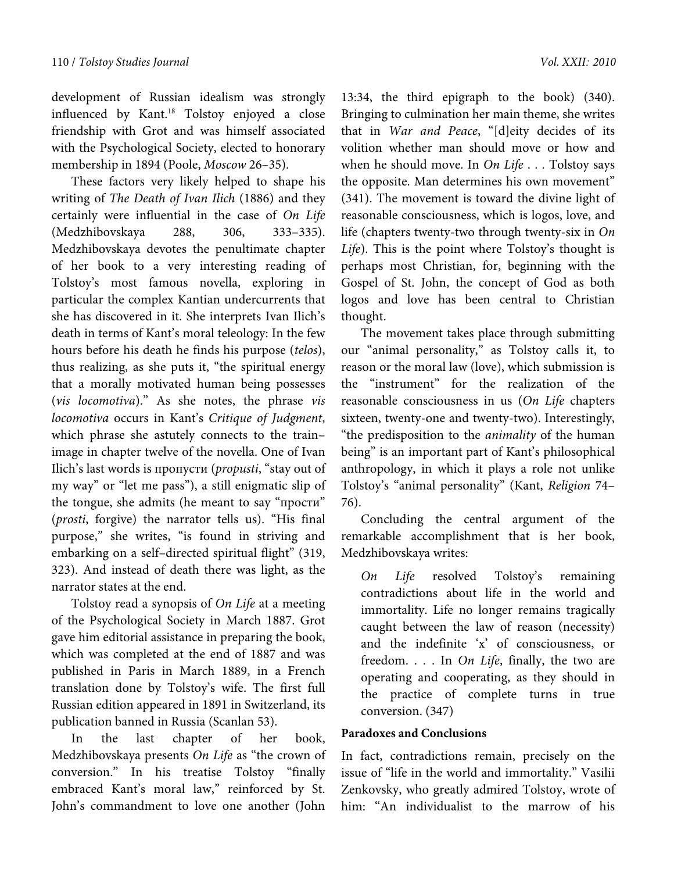development of Russian idealism was strongly influenced by Kant.18 Tolstoy enjoyed a close friendship with Grot and was himself associated with the Psychological Society, elected to honorary membership in 1894 (Poole, Moscow 26–35).

These factors very likely helped to shape his writing of The Death of Ivan Ilich (1886) and they certainly were influential in the case of On Life (Medzhibovskaya 288, 306, 333–335). Medzhibovskaya devotes the penultimate chapter of her book to a very interesting reading of Tolstoy's most famous novella, exploring in particular the complex Kantian undercurrents that she has discovered in it. She interprets Ivan Ilich's death in terms of Kant's moral teleology: In the few hours before his death he finds his purpose (telos), thus realizing, as she puts it, "the spiritual energy that a morally motivated human being possesses (vis locomotiva)." As she notes, the phrase vis locomotiva occurs in Kant's Critique of Judgment, which phrase she astutely connects to the train– image in chapter twelve of the novella. One of Ivan Ilich's last words is пропусти (propusti, "stay out of my way" or "let me pass"), a still enigmatic slip of the tongue, she admits (he meant to say "прости" (prosti, forgive) the narrator tells us). "His final purpose," she writes, "is found in striving and embarking on a self–directed spiritual flight" (319, 323). And instead of death there was light, as the narrator states at the end.

Tolstoy read a synopsis of On Life at a meeting of the Psychological Society in March 1887. Grot gave him editorial assistance in preparing the book, which was completed at the end of 1887 and was published in Paris in March 1889, in a French translation done by Tolstoy's wife. The first full Russian edition appeared in 1891 in Switzerland, its publication banned in Russia (Scanlan 53).

In the last chapter of her book, Medzhibovskaya presents On Life as "the crown of conversion." In his treatise Tolstoy "finally embraced Kant's moral law," reinforced by St. John's commandment to love one another (John

13:34, the third epigraph to the book) (340). Bringing to culmination her main theme, she writes that in War and Peace, "[d]eity decides of its volition whether man should move or how and when he should move. In On Life  $\ldots$  Tolstoy says the opposite. Man determines his own movement" (341). The movement is toward the divine light of reasonable consciousness, which is logos, love, and life (chapters twenty-two through twenty-six in On Life). This is the point where Tolstoy's thought is perhaps most Christian, for, beginning with the Gospel of St. John, the concept of God as both logos and love has been central to Christian thought.

The movement takes place through submitting our "animal personality," as Tolstoy calls it, to reason or the moral law (love), which submission is the "instrument" for the realization of the reasonable consciousness in us (On Life chapters sixteen, twenty-one and twenty-two). Interestingly, "the predisposition to the animality of the human being" is an important part of Kant's philosophical anthropology, in which it plays a role not unlike Tolstoy's "animal personality" (Kant, Religion 74– 76).

Concluding the central argument of the remarkable accomplishment that is her book, Medzhibovskaya writes:

On Life resolved Tolstoy's remaining contradictions about life in the world and immortality. Life no longer remains tragically caught between the law of reason (necessity) and the indefinite 'x' of consciousness, or freedom. . . . In On Life, finally, the two are operating and cooperating, as they should in the practice of complete turns in true conversion. (347)

### **Paradoxes and Conclusions**

In fact, contradictions remain, precisely on the issue of "life in the world and immortality." Vasilii Zenkovsky, who greatly admired Tolstoy, wrote of him: "An individualist to the marrow of his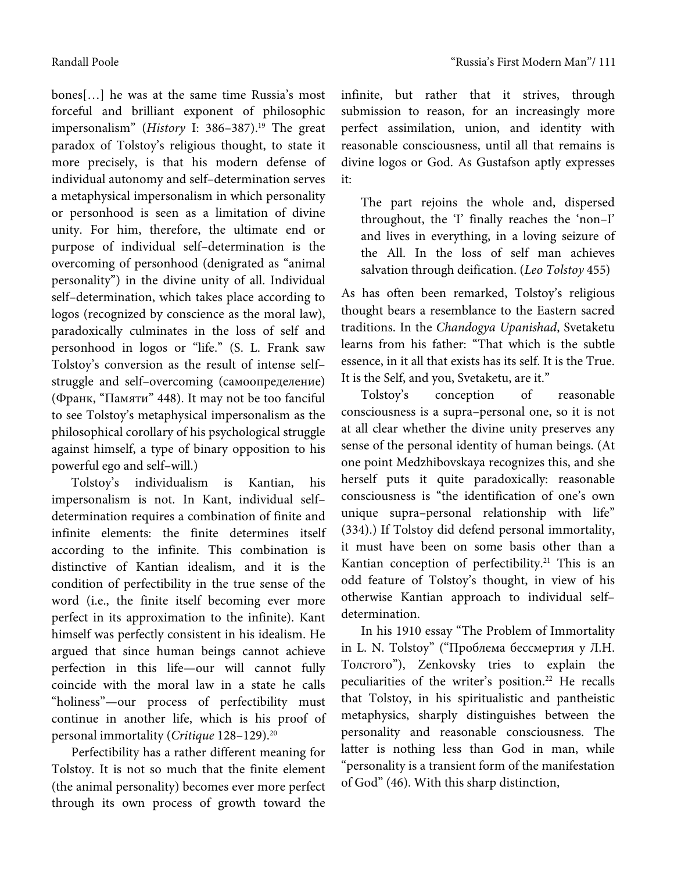bones[…] he was at the same time Russia's most forceful and brilliant exponent of philosophic impersonalism" (History I:  $386-387$ ).<sup>19</sup> The great paradox of Tolstoy's religious thought, to state it more precisely, is that his modern defense of individual autonomy and self–determination serves a metaphysical impersonalism in which personality or personhood is seen as a limitation of divine unity. For him, therefore, the ultimate end or purpose of individual self–determination is the overcoming of personhood (denigrated as "animal personality") in the divine unity of all. Individual self–determination, which takes place according to logos (recognized by conscience as the moral law), paradoxically culminates in the loss of self and personhood in logos or "life." (S. L. Frank saw Tolstoy's conversion as the result of intense self– struggle and self–overcoming (самоопределение) (Франк, "Памяти" 448). It may not be too fanciful to see Tolstoy's metaphysical impersonalism as the philosophical corollary of his psychological struggle against himself, a type of binary opposition to his powerful ego and self–will.)

Tolstoy's individualism is Kantian, his impersonalism is not. In Kant, individual self– determination requires a combination of finite and infinite elements: the finite determines itself according to the infinite. This combination is distinctive of Kantian idealism, and it is the condition of perfectibility in the true sense of the word (i.e., the finite itself becoming ever more perfect in its approximation to the infinite). Kant himself was perfectly consistent in his idealism. He argued that since human beings cannot achieve perfection in this life—our will cannot fully coincide with the moral law in a state he calls "holiness"—our process of perfectibility must continue in another life, which is his proof of personal immortality (Critique 128-129).<sup>20</sup>

Perfectibility has a rather different meaning for Tolstoy. It is not so much that the finite element (the animal personality) becomes ever more perfect through its own process of growth toward the

infinite, but rather that it strives, through submission to reason, for an increasingly more perfect assimilation, union, and identity with reasonable consciousness, until all that remains is divine logos or God. As Gustafson aptly expresses it:

The part rejoins the whole and, dispersed throughout, the 'I' finally reaches the 'non–I' and lives in everything, in a loving seizure of the All. In the loss of self man achieves salvation through deification. (Leo Tolstoy 455)

As has often been remarked, Tolstoy's religious thought bears a resemblance to the Eastern sacred traditions. In the Chandogya Upanishad, Svetaketu learns from his father: "That which is the subtle essence, in it all that exists has its self. It is the True. It is the Self, and you, Svetaketu, are it."

Tolstoy's conception of reasonable consciousness is a supra–personal one, so it is not at all clear whether the divine unity preserves any sense of the personal identity of human beings. (At one point Medzhibovskaya recognizes this, and she herself puts it quite paradoxically: reasonable consciousness is "the identification of one's own unique supra–personal relationship with life" (334).) If Tolstoy did defend personal immortality, it must have been on some basis other than a Kantian conception of perfectibility.<sup>21</sup> This is an odd feature of Tolstoy's thought, in view of his otherwise Kantian approach to individual self– determination.

In his 1910 essay "The Problem of Immortality in L. N. Tolstoy" ("Проблема бессмертия у Л.Н. Толстого"), Zenkovsky tries to explain the peculiarities of the writer's position.<sup>22</sup> He recalls that Tolstoy, in his spiritualistic and pantheistic metaphysics, sharply distinguishes between the personality and reasonable consciousness. The latter is nothing less than God in man, while "personality is a transient form of the manifestation of God" (46). With this sharp distinction,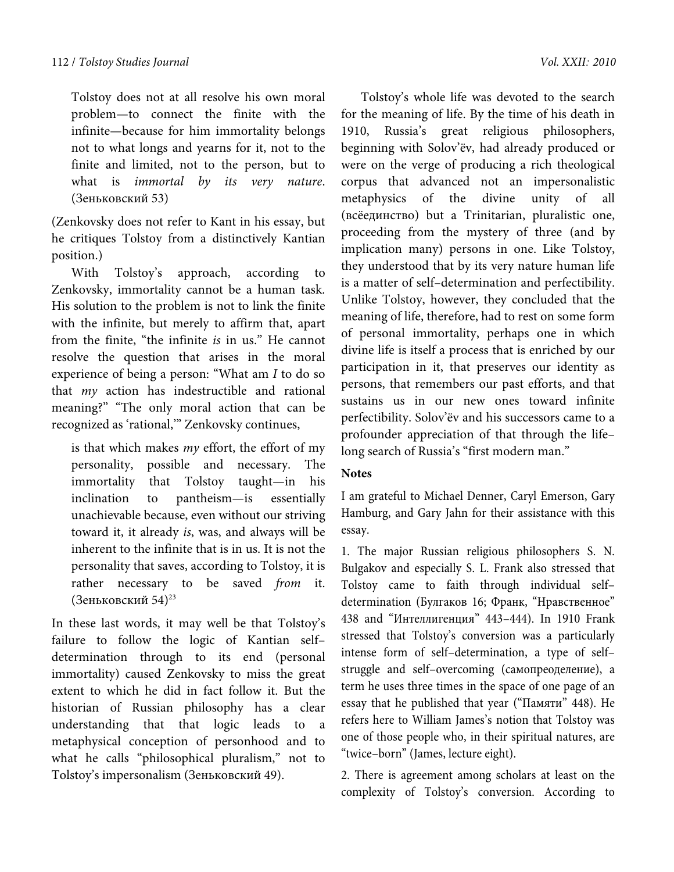Tolstoy does not at all resolve his own moral problem—to connect the finite with the infinite—because for him immortality belongs not to what longs and yearns for it, not to the finite and limited, not to the person, but to what is *immortal by its very nature*. (Зеньковский 53)

(Zenkovsky does not refer to Kant in his essay, but he critiques Tolstoy from a distinctively Kantian position.)

With Tolstoy's approach, according to Zenkovsky, immortality cannot be a human task. His solution to the problem is not to link the finite with the infinite, but merely to affirm that, apart from the finite, "the infinite is in us." He cannot resolve the question that arises in the moral experience of being a person: "What am I to do so that my action has indestructible and rational meaning?" "The only moral action that can be recognized as 'rational,'" Zenkovsky continues,

is that which makes  $my$  effort, the effort of my personality, possible and necessary. The immortality that Tolstoy taught—in his inclination to pantheism—is essentially unachievable because, even without our striving toward it, it already is, was, and always will be inherent to the infinite that is in us. It is not the personality that saves, according to Tolstoy, it is rather necessary to be saved *from* it. (Зеньковский 54)23

In these last words, it may well be that Tolstoy's failure to follow the logic of Kantian self– determination through to its end (personal immortality) caused Zenkovsky to miss the great extent to which he did in fact follow it. But the historian of Russian philosophy has a clear understanding that that logic leads to a metaphysical conception of personhood and to what he calls "philosophical pluralism," not to Tolstoy's impersonalism (Зеньковский 49).

Tolstoy's whole life was devoted to the search for the meaning of life. By the time of his death in 1910, Russia's great religious philosophers, beginning with Solov'ёv, had already produced or were on the verge of producing a rich theological corpus that advanced not an impersonalistic metaphysics of the divine unity of all (всёединство) but a Trinitarian, pluralistic one, proceeding from the mystery of three (and by implication many) persons in one. Like Tolstoy, they understood that by its very nature human life is a matter of self–determination and perfectibility. Unlike Tolstoy, however, they concluded that the meaning of life, therefore, had to rest on some form of personal immortality, perhaps one in which divine life is itself a process that is enriched by our participation in it, that preserves our identity as persons, that remembers our past efforts, and that sustains us in our new ones toward infinite perfectibility. Solov'ёv and his successors came to a profounder appreciation of that through the life– long search of Russia's "first modern man."

# **Notes**

I am grateful to Michael Denner, Caryl Emerson, Gary Hamburg, and Gary Jahn for their assistance with this essay.

1. The major Russian religious philosophers S. N. Bulgakov and especially S. L. Frank also stressed that Tolstoy came to faith through individual self– determination (Булгаков 16; Франк, "Нравственное" 438 and "Интеллигенция" 443–444). In 1910 Frank stressed that Tolstoy's conversion was a particularly intense form of self–determination, a type of self– struggle and self–overcoming (самопреоделение), a term he uses three times in the space of one page of an essay that he published that year ("Памяти" 448). He refers here to William James's notion that Tolstoy was one of those people who, in their spiritual natures, are "twice–born" (James, lecture eight).

2. There is agreement among scholars at least on the complexity of Tolstoy's conversion. According to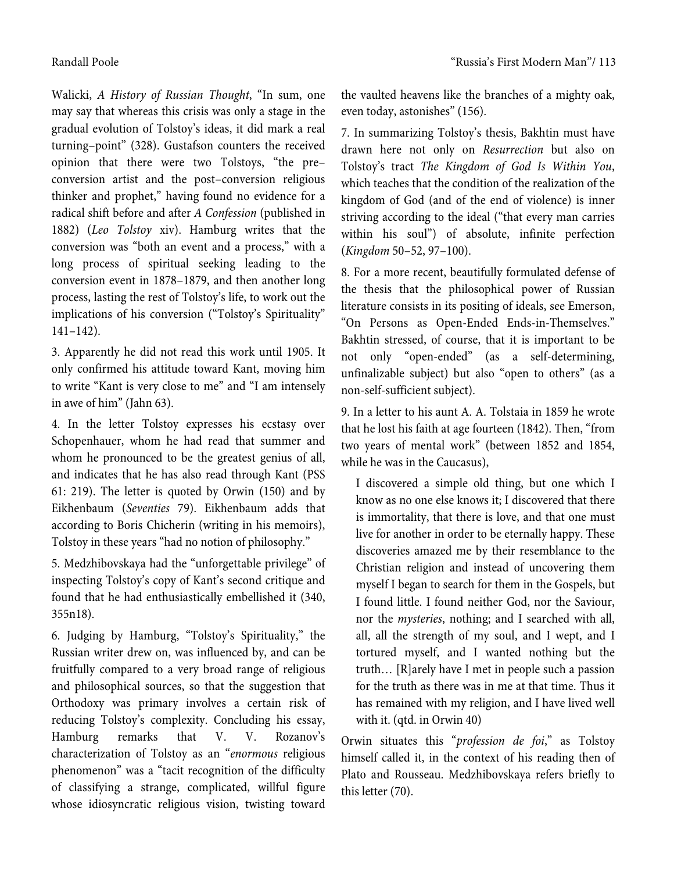Walicki, *A History of Russian Thought*, "In sum, one may say that whereas this crisis was only a stage in the gradual evolution of Tolstoy's ideas, it did mark a real turning–point" (328). Gustafson counters the received opinion that there were two Tolstoys, "the pre– conversion artist and the post–conversion religious thinker and prophet," having found no evidence for a radical shift before and after *A Confession* (published in 1882) (*Leo Tolstoy* xiv). Hamburg writes that the conversion was "both an event and a process," with a long process of spiritual seeking leading to the conversion event in 1878–1879, and then another long process, lasting the rest of Tolstoy's life, to work out the implications of his conversion ("Tolstoy's Spirituality" 141–142).

3. Apparently he did not read this work until 1905. It only confirmed his attitude toward Kant, moving him to write "Kant is very close to me" and "I am intensely in awe of him" (Jahn 63).

4. In the letter Tolstoy expresses his ecstasy over Schopenhauer, whom he had read that summer and whom he pronounced to be the greatest genius of all, and indicates that he has also read through Kant (PSS 61: 219). The letter is quoted by Orwin (150) and by Eikhenbaum (*Seventies* 79). Eikhenbaum adds that according to Boris Chicherin (writing in his memoirs), Tolstoy in these years "had no notion of philosophy."

5. Medzhibovskaya had the "unforgettable privilege" of inspecting Tolstoy's copy of Kant's second critique and found that he had enthusiastically embellished it (340, 355n18).

6. Judging by Hamburg, "Tolstoy's Spirituality," the Russian writer drew on, was influenced by, and can be fruitfully compared to a very broad range of religious and philosophical sources, so that the suggestion that Orthodoxy was primary involves a certain risk of reducing Tolstoy's complexity. Concluding his essay, Hamburg remarks that V. V. Rozanov's characterization of Tolstoy as an "*enormous* religious phenomenon" was a "tacit recognition of the difficulty of classifying a strange, complicated, willful figure whose idiosyncratic religious vision, twisting toward the vaulted heavens like the branches of a mighty oak, even today, astonishes" (156).

7. In summarizing Tolstoy's thesis, Bakhtin must have drawn here not only on *Resurrection* but also on Tolstoy's tract *The Kingdom of God Is Within You*, which teaches that the condition of the realization of the kingdom of God (and of the end of violence) is inner striving according to the ideal ("that every man carries within his soul") of absolute, infinite perfection (*Kingdom* 50–52, 97–100).

8. For a more recent, beautifully formulated defense of the thesis that the philosophical power of Russian literature consists in its positing of ideals, see Emerson, "On Persons as Open-Ended Ends-in-Themselves." Bakhtin stressed, of course, that it is important to be not only "open-ended" (as a self-determining, unfinalizable subject) but also "open to others" (as a non-self-sufficient subject).

9. In a letter to his aunt A. A. Tolstaia in 1859 he wrote that he lost his faith at age fourteen (1842). Then, "from two years of mental work" (between 1852 and 1854, while he was in the Caucasus),

I discovered a simple old thing, but one which I know as no one else knows it; I discovered that there is immortality, that there is love, and that one must live for another in order to be eternally happy. These discoveries amazed me by their resemblance to the Christian religion and instead of uncovering them myself I began to search for them in the Gospels, but I found little. I found neither God, nor the Saviour, nor the *mysteries*, nothing; and I searched with all, all, all the strength of my soul, and I wept, and I tortured myself, and I wanted nothing but the truth… [R]arely have I met in people such a passion for the truth as there was in me at that time. Thus it has remained with my religion, and I have lived well with it. (qtd. in Orwin 40)

Orwin situates this "*profession de foi*," as Tolstoy himself called it, in the context of his reading then of Plato and Rousseau. Medzhibovskaya refers briefly to this letter (70).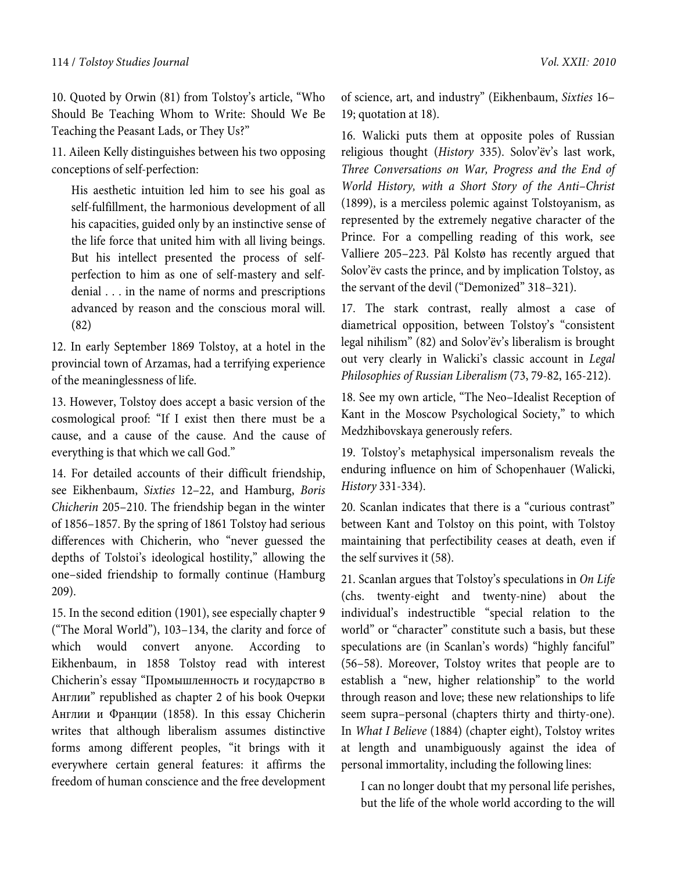#### 114 / Tolstoy Studies Journal Vol. XXII*:* 2010

10. Quoted by Orwin (81) from Tolstoy's article, "Who Should Be Teaching Whom to Write: Should We Be Teaching the Peasant Lads, or They Us?"

11. Aileen Kelly distinguishes between his two opposing conceptions of self-perfection:

His aesthetic intuition led him to see his goal as self-fulfillment, the harmonious development of all his capacities, guided only by an instinctive sense of the life force that united him with all living beings. But his intellect presented the process of selfperfection to him as one of self-mastery and selfdenial . . . in the name of norms and prescriptions advanced by reason and the conscious moral will. (82)

12. In early September 1869 Tolstoy, at a hotel in the provincial town of Arzamas, had a terrifying experience of the meaninglessness of life.

13. However, Tolstoy does accept a basic version of the cosmological proof: "If I exist then there must be a cause, and a cause of the cause. And the cause of everything is that which we call God."

14. For detailed accounts of their difficult friendship, see Eikhenbaum, *Sixties* 12–22, and Hamburg, *Boris Chicherin* 205–210. The friendship began in the winter of 1856–1857. By the spring of 1861 Tolstoy had serious differences with Chicherin, who "never guessed the depths of Tolstoi's ideological hostility," allowing the one–sided friendship to formally continue (Hamburg 209).

15. In the second edition (1901), see especially chapter 9 ("The Moral World"), 103–134, the clarity and force of which would convert anyone. According to Eikhenbaum, in 1858 Tolstoy read with interest Chicherin's essay "Промышленность и государство в Англии" republished as chapter 2 of his book Очерки Англии и Франции (1858). In this essay Chicherin writes that although liberalism assumes distinctive forms among different peoples, "it brings with it everywhere certain general features: it affirms the freedom of human conscience and the free development of science, art, and industry" (Eikhenbaum, *Sixties* 16– 19; quotation at 18).

16. Walicki puts them at opposite poles of Russian religious thought (*History* 335). Solov'ёv's last work, *Three Conversations on War, Progress and the End of World History, with a Short Story of the Anti–Christ* (1899), is a merciless polemic against Tolstoyanism, as represented by the extremely negative character of the Prince. For a compelling reading of this work, see Valliere 205–223. Pål Kolstø has recently argued that Solov'ёv casts the prince, and by implication Tolstoy, as the servant of the devil ("Demonized" 318–321).

17. The stark contrast, really almost a case of diametrical opposition, between Tolstoy's "consistent legal nihilism" (82) and Solov'ёv's liberalism is brought out very clearly in Walicki's classic account in *Legal Philosophies of Russian Liberalism* (73, 79-82, 165-212).

18. See my own article, "The Neo–Idealist Reception of Kant in the Moscow Psychological Society," to which Medzhibovskaya generously refers.

19. Tolstoy's metaphysical impersonalism reveals the enduring influence on him of Schopenhauer (Walicki, *History* 331-334).

20. Scanlan indicates that there is a "curious contrast" between Kant and Tolstoy on this point, with Tolstoy maintaining that perfectibility ceases at death, even if the self survives it (58).

21. Scanlan argues that Tolstoy's speculations in *On Life* (chs. twenty-eight and twenty-nine) about the individual's indestructible "special relation to the world" or "character" constitute such a basis, but these speculations are (in Scanlan's words) "highly fanciful" (56–58). Moreover, Tolstoy writes that people are to establish a "new, higher relationship" to the world through reason and love; these new relationships to life seem supra–personal (chapters thirty and thirty-one). In *What I Believe* (1884) (chapter eight), Tolstoy writes at length and unambiguously against the idea of personal immortality, including the following lines:

I can no longer doubt that my personal life perishes, but the life of the whole world according to the will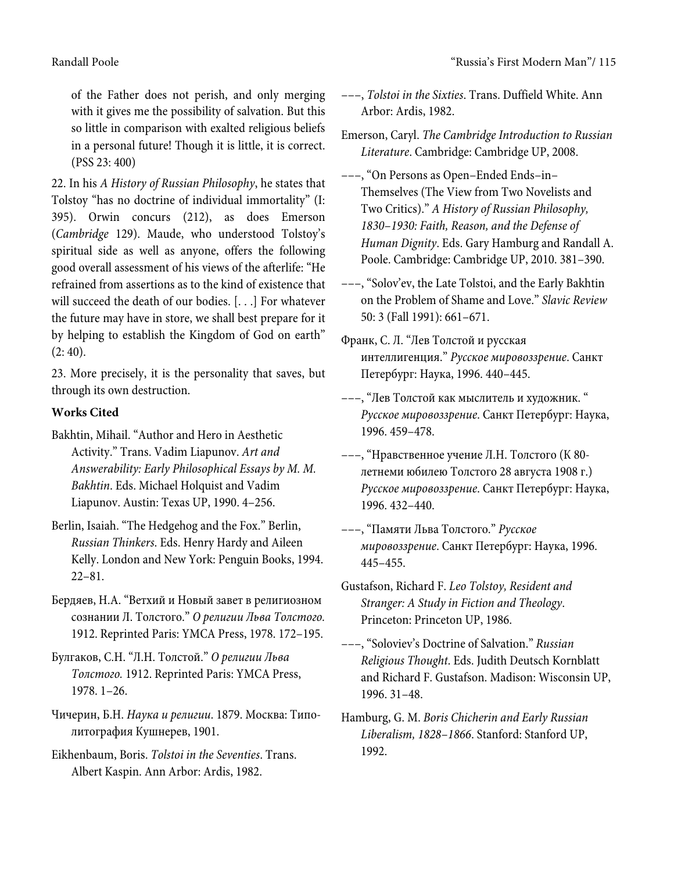of the Father does not perish, and only merging with it gives me the possibility of salvation. But this so little in comparison with exalted religious beliefs in a personal future! Though it is little, it is correct. (PSS 23: 400)

22. In his *A History of Russian Philosophy*, he states that Tolstoy "has no doctrine of individual immortality" (I: 395). Orwin concurs (212), as does Emerson (*Cambridge* 129). Maude, who understood Tolstoy's spiritual side as well as anyone, offers the following good overall assessment of his views of the afterlife: "He refrained from assertions as to the kind of existence that will succeed the death of our bodies. [. . .] For whatever the future may have in store, we shall best prepare for it by helping to establish the Kingdom of God on earth"  $(2: 40).$ 

23. More precisely, it is the personality that saves, but through its own destruction.

# **Works Cited**

- Bakhtin, Mihail. "Author and Hero in Aesthetic Activity." Trans. Vadim Liapunov. *Art and Answerability: Early Philosophical Essays by M. M. Bakhtin*. Eds. Michael Holquist and Vadim Liapunov. Austin: Texas UP, 1990. 4–256.
- Berlin, Isaiah. "The Hedgehog and the Fox." Berlin, *Russian Thinkers*. Eds. Henry Hardy and Aileen Kelly. London and New York: Penguin Books, 1994. 22–81.
- Бердяев, Н.А. "Ветхий и Новый завет в религиозном сознании Л. Толстого." *О религии Льва Толстого.* 1912. Reprinted Paris: YMCA Press, 1978. 172–195.
- Булгаков, С.Н. "Л.Н. Толстой." *О религии Льва Толстого.* 1912. Reprinted Paris: YMCA Press, 1978. 1–26.
- Чичерин, Б.Н. *Наука и религии*. 1879. Москва: Типолитография Кушнерев, 1901.

Eikhenbaum, Boris. *Tolstoi in the Seventies*. Trans. Albert Kaspin. Ann Arbor: Ardis, 1982.

- –––, *Tolstoi in the Sixties*. Trans. Duffield White. Ann Arbor: Ardis, 1982.
- Emerson, Caryl. *The Cambridge Introduction to Russian Literature*. Cambridge: Cambridge UP, 2008.
- –––, "On Persons as Open–Ended Ends–in– Themselves (The View from Two Novelists and Two Critics)." *A History of Russian Philosophy, 1830–1930: Faith, Reason, and the Defense of Human Dignity*. Eds. Gary Hamburg and Randall A. Poole. Cambridge: Cambridge UP, 2010. 381–390.
- –––, "Solov'ev, the Late Tolstoi, and the Early Bakhtin on the Problem of Shame and Love." *Slavic Review* 50: 3 (Fall 1991): 661–671.
- Франк, С. Л. "Лев Толстой и русская интеллигенция." *Русское мировоззрение*. Санкт Петербург: Наука, 1996. 440–445.
- –––, "Лев Толстой как мыслитель и художник. " *Русское мировоззрение*. Санкт Петербург: Наука, 1996. 459–478.
- –––, "Нравственное учение Л.Н. Толстого (К 80 летнеми юбилею Толстого 28 августа 1908 г.) *Русское мировоззрение*. Санкт Петербург: Наука, 1996. 432–440.
- –––, "Памяти Льва Толстого." *Русское мировоззрение*. Санкт Петербург: Наука, 1996. 445–455.
- Gustafson, Richard F. *Leo Tolstoy, Resident and Stranger: A Study in Fiction and Theology*. Princeton: Princeton UP, 1986.
- –––, "Soloviev's Doctrine of Salvation." *Russian Religious Thought*. Eds. Judith Deutsch Kornblatt and Richard F. Gustafson. Madison: Wisconsin UP, 1996. 31–48.
- Hamburg, G. M. *Boris Chicherin and Early Russian Liberalism, 1828–1866*. Stanford: Stanford UP, 1992.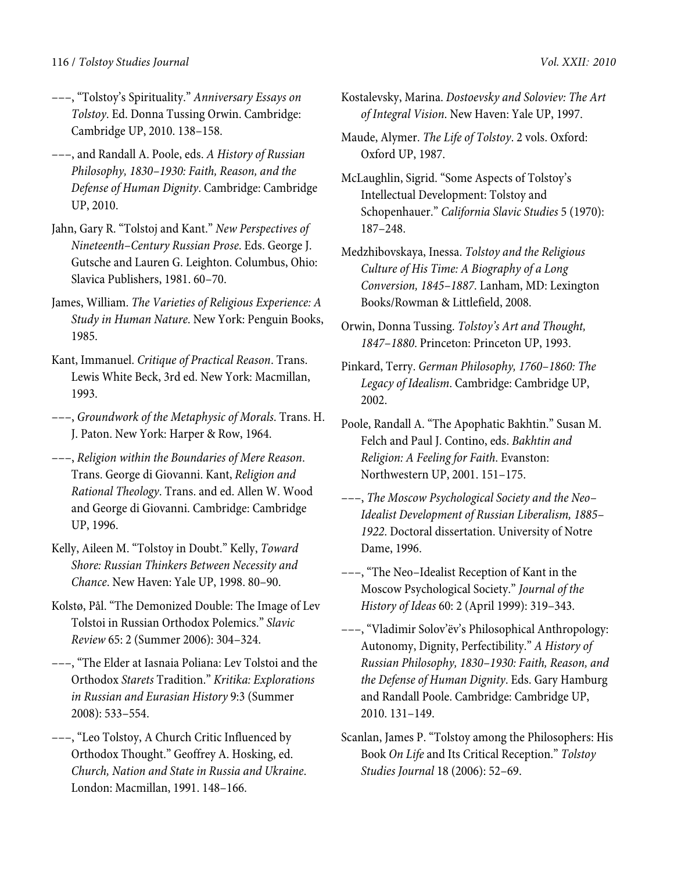- –––, "Tolstoy's Spirituality." *Anniversary Essays on Tolstoy*. Ed. Donna Tussing Orwin. Cambridge: Cambridge UP, 2010. 138–158.
- –––, and Randall A. Poole, eds. *A History of Russian Philosophy, 1830–1930: Faith, Reason, and the Defense of Human Dignity*. Cambridge: Cambridge UP, 2010.
- Jahn, Gary R. "Tolstoj and Kant." *New Perspectives of Nineteenth–Century Russian Prose*. Eds. George J. Gutsche and Lauren G. Leighton. Columbus, Ohio: Slavica Publishers, 1981. 60–70.
- James, William. *The Varieties of Religious Experience: A Study in Human Nature*. New York: Penguin Books, 1985.
- Kant, Immanuel. *Critique of Practical Reason*. Trans. Lewis White Beck, 3rd ed. New York: Macmillan, 1993.
- –––, *Groundwork of the Metaphysic of Morals*. Trans. H. J. Paton. New York: Harper & Row, 1964.
- –––, *Religion within the Boundaries of Mere Reason*. Trans. George di Giovanni. Kant, *Religion and Rational Theology*. Trans. and ed. Allen W. Wood and George di Giovanni. Cambridge: Cambridge UP, 1996.
- Kelly, Aileen M. "Tolstoy in Doubt." Kelly, *Toward Shore: Russian Thinkers Between Necessity and Chance*. New Haven: Yale UP, 1998. 80–90.
- Kolstø, Pål. "The Demonized Double: The Image of Lev Tolstoi in Russian Orthodox Polemics." *Slavic Review* 65: 2 (Summer 2006): 304–324.
- –––, "The Elder at Iasnaia Poliana: Lev Tolstoi and the Orthodox *Starets* Tradition." *Kritika: Explorations in Russian and Eurasian History* 9:3 (Summer 2008): 533–554.
- –––, "Leo Tolstoy, A Church Critic Influenced by Orthodox Thought." Geoffrey A. Hosking, ed. *Church, Nation and State in Russia and Ukraine*. London: Macmillan, 1991. 148–166.
- Kostalevsky, Marina. *Dostoevsky and Soloviev: The Art of Integral Vision*. New Haven: Yale UP, 1997.
- Maude, Alymer. *The Life of Tolstoy*. 2 vols. Oxford: Oxford UP, 1987.
- McLaughlin, Sigrid. "Some Aspects of Tolstoy's Intellectual Development: Tolstoy and Schopenhauer." *California Slavic Studies* 5 (1970): 187–248.
- Medzhibovskaya, Inessa. *Tolstoy and the Religious Culture of His Time: A Biography of a Long Conversion, 1845–1887*. Lanham, MD: Lexington Books/Rowman & Littlefield, 2008.
- Orwin, Donna Tussing. *Tolstoy's Art and Thought, 1847–1880*. Princeton: Princeton UP, 1993.
- Pinkard, Terry. *German Philosophy, 1760–1860: The Legacy of Idealism*. Cambridge: Cambridge UP, 2002.
- Poole, Randall A. "The Apophatic Bakhtin." Susan M. Felch and Paul J. Contino, eds. *Bakhtin and Religion: A Feeling for Faith*. Evanston: Northwestern UP, 2001. 151–175.
- –––, *The Moscow Psychological Society and the Neo– Idealist Development of Russian Liberalism, 1885– 1922*. Doctoral dissertation. University of Notre Dame, 1996.
- –––, "The Neo–Idealist Reception of Kant in the Moscow Psychological Society." *Journal of the History of Ideas* 60: 2 (April 1999): 319–343.
- –––, "Vladimir Solov'ëv's Philosophical Anthropology: Autonomy, Dignity, Perfectibility." *A History of Russian Philosophy, 1830–1930: Faith, Reason, and the Defense of Human Dignity*. Eds. Gary Hamburg and Randall Poole. Cambridge: Cambridge UP, 2010. 131–149.
- Scanlan, James P. "Tolstoy among the Philosophers: His Book *On Life* and Its Critical Reception." *Tolstoy Studies Journal* 18 (2006): 52–69.